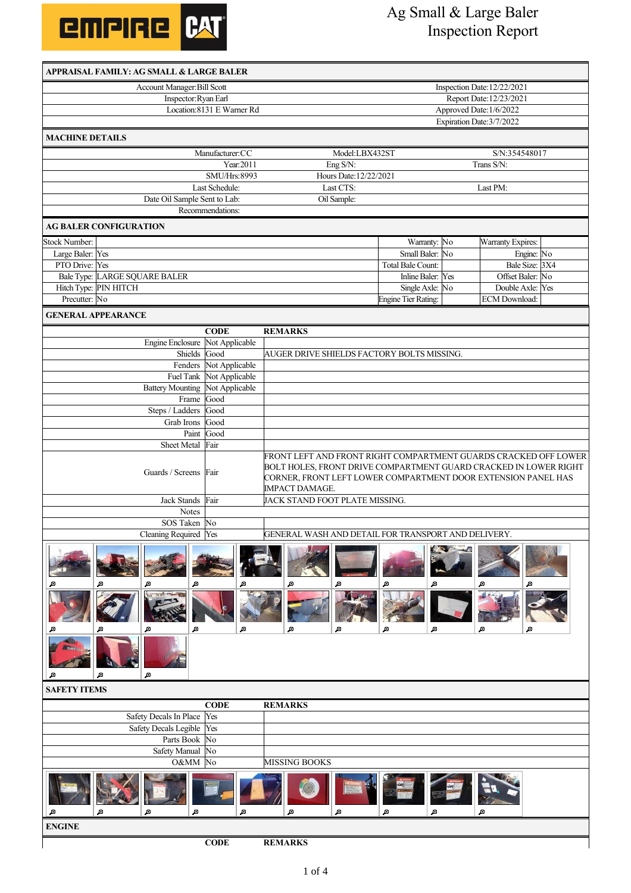

## Ag Small & Large Baler Inspection Report

| APPRAISAL FAMILY: AG SMALL & LARGE BALER |                                  |                                                                                 |  |  |  |  |  |
|------------------------------------------|----------------------------------|---------------------------------------------------------------------------------|--|--|--|--|--|
| Account Manager: Bill Scott              | Inspection Date: 12/22/2021      |                                                                                 |  |  |  |  |  |
| Inspector: Ryan Earl                     | Report Date: 12/23/2021          |                                                                                 |  |  |  |  |  |
|                                          | Location: 8131 E Warner Rd       | Approved Date: 1/6/2022                                                         |  |  |  |  |  |
|                                          |                                  | Expiration Date: 3/7/2022                                                       |  |  |  |  |  |
| <b>MACHINE DETAILS</b>                   |                                  |                                                                                 |  |  |  |  |  |
|                                          | Manufacturer:CC                  | Model:LBX432ST<br>S/N:354548017                                                 |  |  |  |  |  |
|                                          | Year:2011                        | Trans S/N:<br>Eng S/N:                                                          |  |  |  |  |  |
|                                          | SMU/Hrs:8993                     | Hours Date: 12/22/2021                                                          |  |  |  |  |  |
|                                          | Last Schedule:                   | Last CTS:<br>Last PM:                                                           |  |  |  |  |  |
| Date Oil Sample Sent to Lab:             |                                  | Oil Sample:                                                                     |  |  |  |  |  |
|                                          | Recommendations:                 |                                                                                 |  |  |  |  |  |
| <b>AG BALER CONFIGURATION</b>            |                                  |                                                                                 |  |  |  |  |  |
| <b>Stock Number:</b>                     |                                  | Warranty: No<br>Warranty Expires:                                               |  |  |  |  |  |
| Large Baler: Yes                         |                                  | Small Baler:<br>No<br>Engine: No                                                |  |  |  |  |  |
| PTO Drive: Yes                           |                                  | Bale Size: 3X4<br>Total Bale Count:                                             |  |  |  |  |  |
| Bale Type: LARGE SQUARE BALER            |                                  | Inline Baler: Yes<br>Offset Baler: No                                           |  |  |  |  |  |
| Hitch Type: PIN HITCH                    |                                  | Single Axle: No<br>Double Axle: Yes                                             |  |  |  |  |  |
| Precutter: No                            |                                  | <b>Engine Tier Rating:</b><br>ECM Download:                                     |  |  |  |  |  |
| <b>GENERAL APPEARANCE</b>                |                                  |                                                                                 |  |  |  |  |  |
|                                          | <b>CODE</b>                      | <b>REMARKS</b>                                                                  |  |  |  |  |  |
| <b>Engine Enclosure</b>                  | Not Applicable                   |                                                                                 |  |  |  |  |  |
| Shields                                  | Good                             | AUGER DRIVE SHIELDS FACTORY BOLTS MISSING.                                      |  |  |  |  |  |
| Fenders                                  | Not Applicable                   |                                                                                 |  |  |  |  |  |
| Fuel Tank<br><b>Battery Mounting</b>     | Not Applicable<br>Not Applicable |                                                                                 |  |  |  |  |  |
| Frame Good                               |                                  |                                                                                 |  |  |  |  |  |
| Steps / Ladders                          | Good                             |                                                                                 |  |  |  |  |  |
| Grab Irons                               | Good                             |                                                                                 |  |  |  |  |  |
| Paint                                    | Good                             |                                                                                 |  |  |  |  |  |
| Sheet Metal                              | Fair                             |                                                                                 |  |  |  |  |  |
|                                          |                                  | FRONT LEFT AND FRONT RIGHT COMPARTMENT GUARDS CRACKED OFF LOWER                 |  |  |  |  |  |
| Guards / Screens                         | Fair                             | BOLT HOLES, FRONT DRIVE COMPARTMENT GUARD CRACKED IN LOWER RIGHT                |  |  |  |  |  |
|                                          |                                  | CORNER, FRONT LEFT LOWER COMPARTMENT DOOR EXTENSION PANEL HAS<br>IMPACT DAMAGE. |  |  |  |  |  |
| Jack Stands                              | Fair                             | JACK STAND FOOT PLATE MISSING.                                                  |  |  |  |  |  |
| <b>Notes</b>                             |                                  |                                                                                 |  |  |  |  |  |
| SOS Taken No                             |                                  |                                                                                 |  |  |  |  |  |
| Cleaning Required Yes                    |                                  | GENERAL WASH AND DETAIL FOR TRANSPORT AND DELIVERY.                             |  |  |  |  |  |
| Д<br>Д<br>Æ<br>Æ<br>Æ<br>Æ<br>国<br>£     | Д<br>Æ                           | Д<br>Æ<br>Æ<br>Д<br>Д<br>д<br>Д<br>Д<br>Д<br>Ð<br>Æ<br>Д                        |  |  |  |  |  |
| <b>SAFETY ITEMS</b>                      |                                  |                                                                                 |  |  |  |  |  |
|                                          | <b>CODE</b>                      | <b>REMARKS</b>                                                                  |  |  |  |  |  |
| Safety Decals In Place                   | Yes                              |                                                                                 |  |  |  |  |  |
| <b>Safety Decals Legible</b>             | Yes                              |                                                                                 |  |  |  |  |  |
| Parts Book                               | No                               |                                                                                 |  |  |  |  |  |
| <b>Safety Manual</b>                     | No                               |                                                                                 |  |  |  |  |  |
| O&MM                                     | No                               | <b>MISSING BOOKS</b>                                                            |  |  |  |  |  |
| Æ<br>Д<br>Д<br>Æ                         | Д                                | Д<br>Д<br>Д<br>Д<br>Д                                                           |  |  |  |  |  |
| <b>ENGINE</b>                            |                                  |                                                                                 |  |  |  |  |  |
|                                          | <b>CODE</b>                      | <b>REMARKS</b>                                                                  |  |  |  |  |  |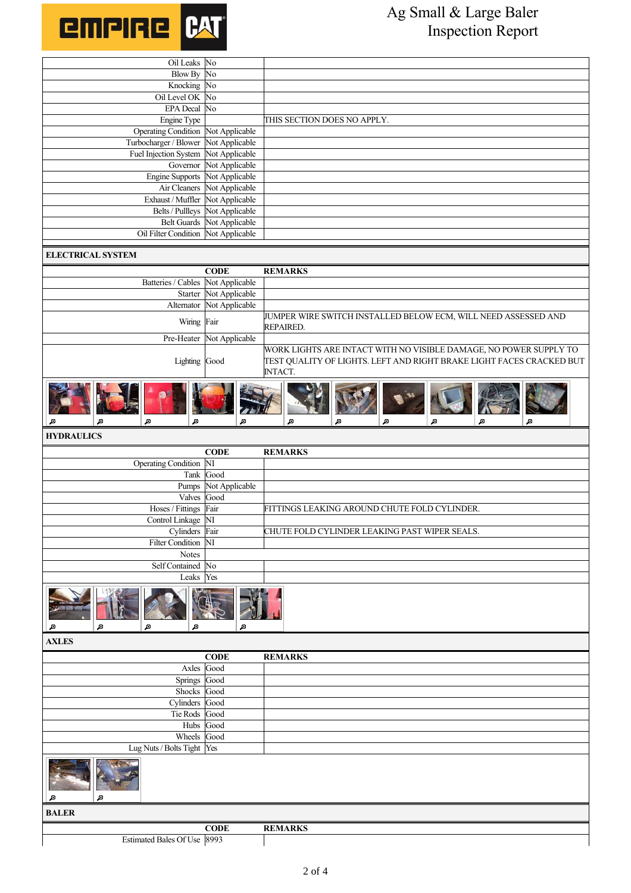

| Oil Leaks No                              |                            |                                                                      |  |  |  |  |  |
|-------------------------------------------|----------------------------|----------------------------------------------------------------------|--|--|--|--|--|
| <b>Blow By</b>                            | No                         |                                                                      |  |  |  |  |  |
| Knocking No                               |                            |                                                                      |  |  |  |  |  |
| Oil Level OK<br><b>EPA</b> Decal          | No<br>No                   |                                                                      |  |  |  |  |  |
|                                           |                            |                                                                      |  |  |  |  |  |
| Engine Type<br><b>Operating Condition</b> | Not Applicable             | THIS SECTION DOES NO APPLY.                                          |  |  |  |  |  |
| Turbocharger / Blower                     | Not Applicable             |                                                                      |  |  |  |  |  |
| Fuel Injection System                     | Not Applicable             |                                                                      |  |  |  |  |  |
| Governor                                  | Not Applicable             |                                                                      |  |  |  |  |  |
| <b>Engine Supports</b>                    | Not Applicable             |                                                                      |  |  |  |  |  |
| Air Cleaners                              | Not Applicable             |                                                                      |  |  |  |  |  |
| Exhaust / Muffler                         | Not Applicable             |                                                                      |  |  |  |  |  |
| Belts / Pullleys                          | Not Applicable             |                                                                      |  |  |  |  |  |
|                                           | Belt Guards Not Applicable |                                                                      |  |  |  |  |  |
| Oil Filter Condition                      | Not Applicable             |                                                                      |  |  |  |  |  |
|                                           |                            |                                                                      |  |  |  |  |  |
| <b>ELECTRICAL SYSTEM</b>                  |                            |                                                                      |  |  |  |  |  |
|                                           | <b>CODE</b>                | <b>REMARKS</b>                                                       |  |  |  |  |  |
| Batteries / Cables Not Applicable         |                            |                                                                      |  |  |  |  |  |
| Starter                                   | Not Applicable             |                                                                      |  |  |  |  |  |
| Alternator                                | Not Applicable             |                                                                      |  |  |  |  |  |
|                                           |                            | JUMPER WIRE SWITCH INSTALLED BELOW ECM, WILL NEED ASSESSED AND       |  |  |  |  |  |
| Wiring Fair                               |                            | REPAIRED.                                                            |  |  |  |  |  |
| Pre-Heater                                | Not Applicable             |                                                                      |  |  |  |  |  |
|                                           |                            | WORK LIGHTS ARE INTACT WITH NO VISIBLE DAMAGE, NO POWER SUPPLY TO    |  |  |  |  |  |
| Lighting Good                             |                            | TEST QUALITY OF LIGHTS. LEFT AND RIGHT BRAKE LIGHT FACES CRACKED BUT |  |  |  |  |  |
|                                           |                            | INTACT.                                                              |  |  |  |  |  |
|                                           |                            |                                                                      |  |  |  |  |  |
| Ð<br>Д<br>Æ<br>Æ                          | Д                          | Æ<br>Д<br>Æ<br>A<br>Æ<br>Æ                                           |  |  |  |  |  |
| <b>HYDRAULICS</b>                         |                            |                                                                      |  |  |  |  |  |
|                                           | <b>CODE</b>                | <b>REMARKS</b>                                                       |  |  |  |  |  |
| <b>Operating Condition</b>                | NI                         |                                                                      |  |  |  |  |  |
|                                           | Tank Good                  |                                                                      |  |  |  |  |  |
| Pumps                                     | Not Applicable             |                                                                      |  |  |  |  |  |
| Valves                                    | Good                       |                                                                      |  |  |  |  |  |
| Hoses / Fittings Fair                     |                            | FITTINGS LEAKING AROUND CHUTE FOLD CYLINDER.                         |  |  |  |  |  |
| Control Linkage NI                        |                            |                                                                      |  |  |  |  |  |
| Cylinders Fair                            |                            | CHUTE FOLD CYLINDER LEAKING PAST WIPER SEALS.                        |  |  |  |  |  |
| <b>Filter Condition</b>                   | $\overline{\text{NI}}$     |                                                                      |  |  |  |  |  |
| Notes                                     |                            |                                                                      |  |  |  |  |  |
| Self Contained No                         |                            |                                                                      |  |  |  |  |  |
| Leaks Yes                                 |                            |                                                                      |  |  |  |  |  |
| Д<br>Д<br>Æ                               | Д                          |                                                                      |  |  |  |  |  |
| <b>AXLES</b>                              |                            |                                                                      |  |  |  |  |  |
|                                           | <b>CODE</b>                | <b>REMARKS</b>                                                       |  |  |  |  |  |
| Axles                                     | Good                       |                                                                      |  |  |  |  |  |
| Springs                                   | Good                       |                                                                      |  |  |  |  |  |
| Shocks Good                               |                            |                                                                      |  |  |  |  |  |
| Cylinders Good                            |                            |                                                                      |  |  |  |  |  |
| Tie Rods                                  | Good                       |                                                                      |  |  |  |  |  |
| Hubs                                      | Good                       |                                                                      |  |  |  |  |  |
| Wheels                                    | Good                       |                                                                      |  |  |  |  |  |
| Lug Nuts / Bolts Tight Yes                |                            |                                                                      |  |  |  |  |  |
| Ð<br>Д                                    |                            |                                                                      |  |  |  |  |  |
| <b>BALER</b>                              |                            |                                                                      |  |  |  |  |  |
|                                           |                            |                                                                      |  |  |  |  |  |
|                                           |                            |                                                                      |  |  |  |  |  |
| Estimated Bales Of Use 8993               | <b>CODE</b>                | <b>REMARKS</b>                                                       |  |  |  |  |  |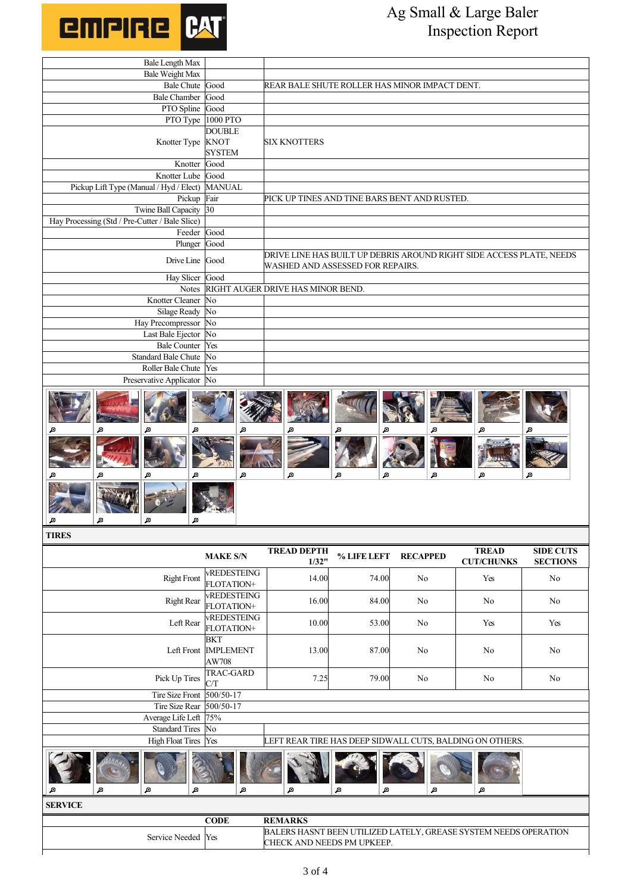

## Ag Small & Large Baler Inspection Report

| Bale Length Max                                |               |                                                                                                                                                                                                                                      |  |  |  |
|------------------------------------------------|---------------|--------------------------------------------------------------------------------------------------------------------------------------------------------------------------------------------------------------------------------------|--|--|--|
| <b>Bale Weight Max</b>                         |               |                                                                                                                                                                                                                                      |  |  |  |
| Bale Chute Good                                |               | REAR BALE SHUTE ROLLER HAS MINOR IMPACT DENT.                                                                                                                                                                                        |  |  |  |
| Bale Chamber Good                              |               |                                                                                                                                                                                                                                      |  |  |  |
| PTO Spline Good                                |               |                                                                                                                                                                                                                                      |  |  |  |
| PTO Type 1000 PTO                              |               |                                                                                                                                                                                                                                      |  |  |  |
|                                                | <b>DOUBLE</b> |                                                                                                                                                                                                                                      |  |  |  |
| Knotter Type                                   | <b>KNOT</b>   | <b>SIX KNOTTERS</b>                                                                                                                                                                                                                  |  |  |  |
|                                                | <b>SYSTEM</b> |                                                                                                                                                                                                                                      |  |  |  |
| Knotter Good                                   |               |                                                                                                                                                                                                                                      |  |  |  |
| Knotter Lube Good                              |               |                                                                                                                                                                                                                                      |  |  |  |
| Pickup Lift Type (Manual / Hyd / Elect) MANUAL |               |                                                                                                                                                                                                                                      |  |  |  |
| Pickup Fair                                    |               | PICK UP TINES AND TINE BARS BENT AND RUSTED.                                                                                                                                                                                         |  |  |  |
| Twine Ball Capacity 30                         |               |                                                                                                                                                                                                                                      |  |  |  |
| Hay Processing (Std / Pre-Cutter / Bale Slice) |               |                                                                                                                                                                                                                                      |  |  |  |
| Feeder Good                                    |               |                                                                                                                                                                                                                                      |  |  |  |
| Plunger                                        | Good          |                                                                                                                                                                                                                                      |  |  |  |
| Drive Line Good                                |               | DRIVE LINE HAS BUILT UP DEBRIS AROUND RIGHT SIDE ACCESS PLATE, NEEDS                                                                                                                                                                 |  |  |  |
|                                                |               | WASHED AND ASSESSED FOR REPAIRS.                                                                                                                                                                                                     |  |  |  |
| Hay Slicer Good                                |               |                                                                                                                                                                                                                                      |  |  |  |
| <b>Notes</b>                                   |               | RIGHT AUGER DRIVE HAS MINOR BEND.                                                                                                                                                                                                    |  |  |  |
| Knotter Cleaner No                             |               |                                                                                                                                                                                                                                      |  |  |  |
| Silage Ready                                   | No            |                                                                                                                                                                                                                                      |  |  |  |
| Hay Precompressor No                           |               |                                                                                                                                                                                                                                      |  |  |  |
| Last Bale Ejector                              | No            |                                                                                                                                                                                                                                      |  |  |  |
| Bale Counter Yes                               |               |                                                                                                                                                                                                                                      |  |  |  |
| Standard Bale Chute No                         |               |                                                                                                                                                                                                                                      |  |  |  |
| Roller Bale Chute Yes                          |               |                                                                                                                                                                                                                                      |  |  |  |
| Preservative Applicator No                     |               |                                                                                                                                                                                                                                      |  |  |  |
|                                                |               | <b>The Second Contract of the Second Contract of the Second Contract of the Second Contract of the Second Contract of the Second Contract of the Second Contract of the Second Contract of the Second Contract of the Second Con</b> |  |  |  |



**TIRES**

|                                                                                                                      | <b>MAKE S/N</b>                                                                            | <b>TREAD DEPTH</b><br>1/32" | % LIFE LEFT | <b>RECAPPED</b> | <b>TREAD</b><br><b>CUT/CHUNKS</b> | <b>SIDE CUTS</b><br><b>SECTIONS</b> |  |  |  |
|----------------------------------------------------------------------------------------------------------------------|--------------------------------------------------------------------------------------------|-----------------------------|-------------|-----------------|-----------------------------------|-------------------------------------|--|--|--|
| <b>Right Front</b>                                                                                                   | <b>vREDESTEING</b><br>FLOTATION+                                                           | 14.00                       | 74.00       | N <sub>o</sub>  | Yes                               | N <sub>o</sub>                      |  |  |  |
| <b>Right Rear</b>                                                                                                    | vREDESTEING<br>FLOTATION+                                                                  | 16.00                       | 84.00       | N <sub>o</sub>  | N <sub>o</sub>                    | N <sub>o</sub>                      |  |  |  |
| Left Rear                                                                                                            | <b>vREDESTEING</b><br>FLOTATION+                                                           | 10.00                       | 53.00       | No              | Yes                               | Yes                                 |  |  |  |
|                                                                                                                      | <b>BKT</b><br>Left Front IMPLEMENT<br>AW708                                                | 13.00                       | 87.00       | N <sub>o</sub>  | No                                | N <sub>o</sub>                      |  |  |  |
| Pick Up Tires                                                                                                        | TRAC-GARD<br>C/T                                                                           | 7.25                        | 79.00       | No              | No                                | N <sub>0</sub>                      |  |  |  |
| Tire Size Front 500/50-17                                                                                            |                                                                                            |                             |             |                 |                                   |                                     |  |  |  |
| <b>Tire Size Rear</b>                                                                                                | 500/50-17                                                                                  |                             |             |                 |                                   |                                     |  |  |  |
| Average Life Left 75%                                                                                                |                                                                                            |                             |             |                 |                                   |                                     |  |  |  |
| <b>Standard Tires</b>                                                                                                | No                                                                                         |                             |             |                 |                                   |                                     |  |  |  |
|                                                                                                                      | <b>High Float Tires</b><br>LEFT REAR TIRE HAS DEEP SIDWALL CUTS, BALDING ON OTHERS.<br>Yes |                             |             |                 |                                   |                                     |  |  |  |
| A<br>Д<br>Д<br>Æ                                                                                                     | Д                                                                                          | Д                           | Д<br>Д      | Д               | Д                                 |                                     |  |  |  |
| <b>SERVICE</b>                                                                                                       |                                                                                            |                             |             |                 |                                   |                                     |  |  |  |
| <b>CODE</b><br><b>REMARKS</b>                                                                                        |                                                                                            |                             |             |                 |                                   |                                     |  |  |  |
| BALERS HASNT BEEN UTILIZED LATELY, GREASE SYSTEM NEEDS OPERATION<br>Service Needed Yes<br>CHECK AND NEEDS PM UPKEEP. |                                                                                            |                             |             |                 |                                   |                                     |  |  |  |